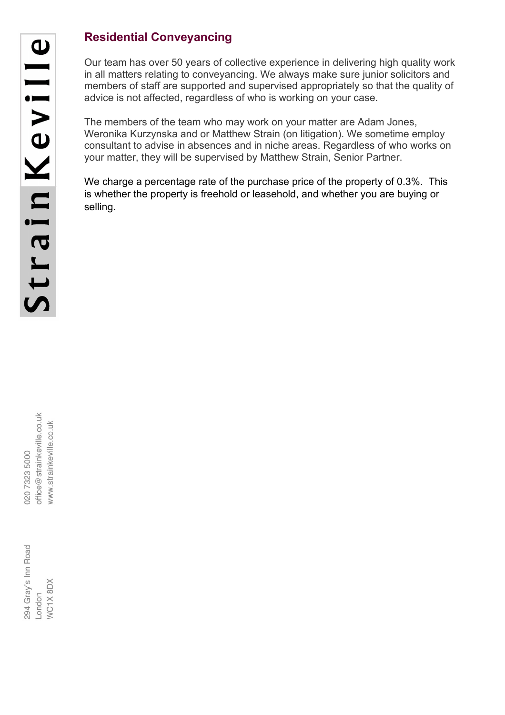## **Residential Conveyancing**

Our team has over 50 years of collective experience in delivering high quality work in all matters relating to conveyancing. We always make sure junior solicitors and members of staff are supported and supervised appropriately so that the quality of advice is not affected, regardless of who is working on your case.

The members of the team who may work on your matter are Adam Jones, Weronika Kurzynska and or Matthew Strain (on litigation). We sometime employ consultant to advise in absences and in niche areas. Regardless of who works on your matter, they will be supervised by Matthew Strain, Senior Partner.

We charge a percentage rate of the purchase price of the property of 0.3%. This is whether the property is freehold or leasehold, and whether you are buying or selling.

| 5000 | g<br>$@$ strainkey | -<br>20.<br>忈<br>inke |  |
|------|--------------------|-----------------------|--|
| 7323 | 9<br>O             | stral<br>W            |  |

 $\checkmark$ 

294 Gray's Inn Road **NC1X 8DX** ndon-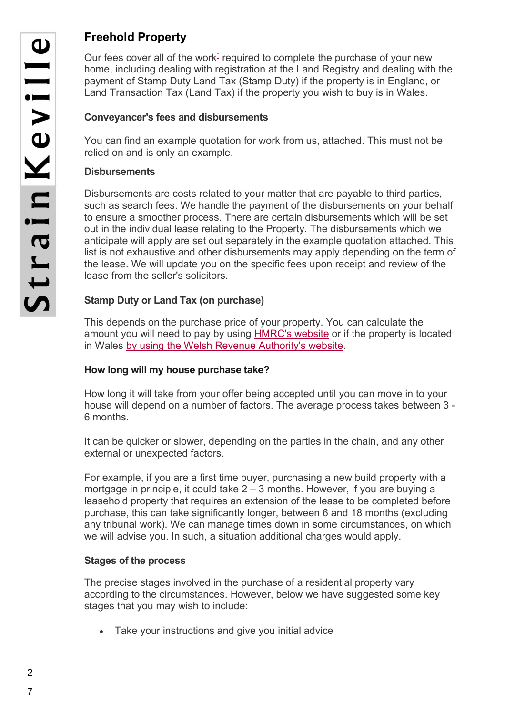### **Freehold Property**

Our fees cover all of the work<sup>\*</sup> required to complete the purchase of your new home, including dealing with registration at the Land Registry and dealing with the payment of Stamp Duty Land Tax (Stamp Duty) if the property is in England, or Land Transaction Tax (Land Tax) if the property you wish to buy is in Wales.

#### **Conveyancer's fees and disbursements**

You can find an example quotation for work from us, attached. This must not be relied on and is only an example.

#### **Disbursements**

Disbursements are costs related to your matter that are payable to third parties, such as search fees. We handle the payment of the disbursements on your behalf to ensure a smoother process. There are certain disbursements which will be set out in the individual lease relating to the Property. The disbursements which we anticipate will apply are set out separately in the example quotation attached. This list is not exhaustive and other disbursements may apply depending on the term of the lease. We will update you on the specific fees upon receipt and review of the lease from the seller's solicitors.

#### **Stamp Duty or Land Tax (on purchase)**

This depends on the purchase price of your property. You can calculate the amount you will need to pay by using [HMRC's website](https://www.tax.service.gov.uk/calculate-stamp-duty-land-tax/#/intro) or if the property is located in Wales [by using the Welsh Revenue Authority's website.](https://beta.gov.wales/land-transaction-tax-calculator)

#### **How long will my house purchase take?**

How long it will take from your offer being accepted until you can move in to your house will depend on a number of factors. The average process takes between 3 - 6 months.

It can be quicker or slower, depending on the parties in the chain, and any other external or unexpected factors.

For example, if you are a first time buyer, purchasing a new build property with a mortgage in principle, it could take  $2 - 3$  months. However, if you are buying a leasehold property that requires an extension of the lease to be completed before purchase, this can take significantly longer, between 6 and 18 months (excluding any tribunal work). We can manage times down in some circumstances, on which we will advise you. In such, a situation additional charges would apply.

#### **Stages of the process**

The precise stages involved in the purchase of a residential property vary according to the circumstances. However, below we have suggested some key stages that you may wish to include:

Take your instructions and give you initial advice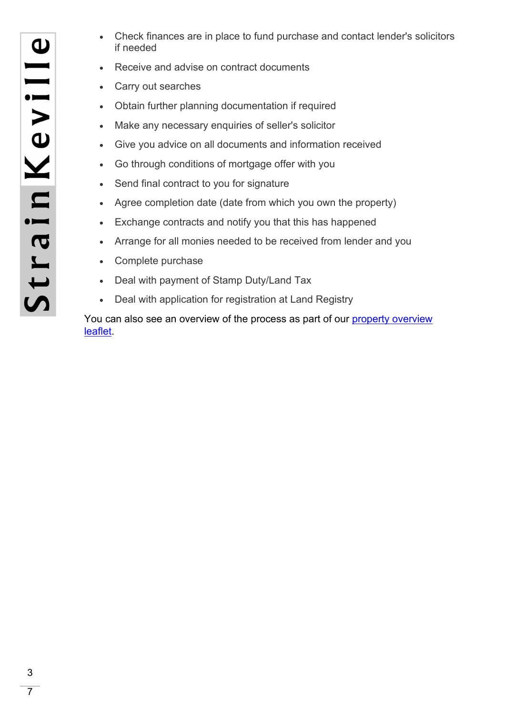- Check finances are in place to fund purchase and contact lender's solicitors if needed
- Receive and advise on contract documents
- Carry out searches
- Obtain further planning documentation if required
- Make any necessary enquiries of seller's solicitor
- Give you advice on all documents and information received
- Go through conditions of mortgage offer with you
- Send final contract to you for signature
- Agree completion date (date from which you own the property)
- Exchange contracts and notify you that this has happened
- Arrange for all monies needed to be received from lender and you
- Complete purchase
- Deal with payment of Stamp Duty/Land Tax
- Deal with application for registration at Land Registry

You can also see an [overview](https://www.strainkeville.co.uk/wp-content/uploads/2019/01/Strain-Keville-Property-Overview.pdf) of the process as part of our property overview [leaflet.](https://www.strainkeville.co.uk/wp-content/uploads/2019/01/Strain-Keville-Property-Overview.pdf)

 $\overline{7}$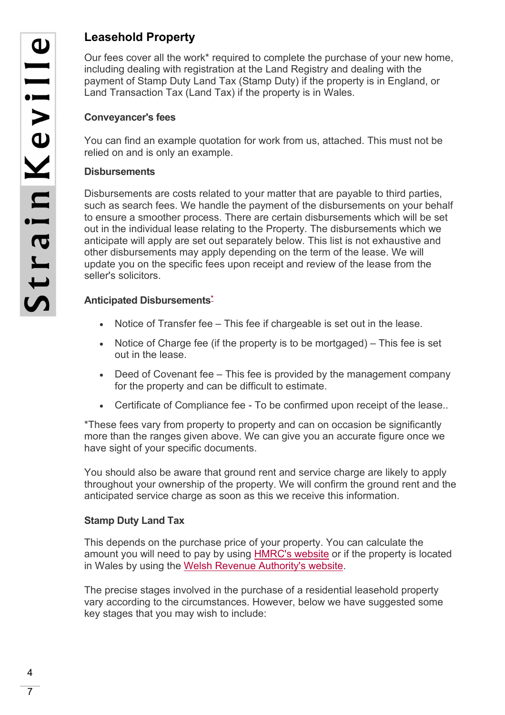### **Leasehold Property**

Our fees cover all the work\* required to complete the purchase of your new home, including dealing with registration at the Land Registry and dealing with the payment of Stamp Duty Land Tax (Stamp Duty) if the property is in England, or Land Transaction Tax (Land Tax) if the property is in Wales.

#### **Conveyancer's fees**

You can find an example quotation for work from us, attached. This must not be relied on and is only an example.

#### **Disbursements**

Disbursements are costs related to your matter that are payable to third parties, such as search fees. We handle the payment of the disbursements on your behalf to ensure a smoother process. There are certain disbursements which will be set out in the individual lease relating to the Property. The disbursements which we anticipate will apply are set out separately below. This list is not exhaustive and other disbursements may apply depending on the term of the lease. We will update you on the specific fees upon receipt and review of the lease from the seller's solicitors.

#### **Anticipated Disbursement[s\\*](https://www.sra.org.uk/solicitors/guidance/transparency-in-price-and-service/#star3)**

- Notice of Transfer fee This fee if chargeable is set out in the lease.
- Notice of Charge fee (if the property is to be mortgaged) This fee is set out in the lease.
- Deed of Covenant fee This fee is provided by the management company for the property and can be difficult to estimate.
- Certificate of Compliance fee To be confirmed upon receipt of the lease..

\*These fees vary from property to property and can on occasion be significantly more than the ranges given above. We can give you an accurate figure once we have sight of your specific documents.

You should also be aware that ground rent and service charge are likely to apply throughout your ownership of the property. We will confirm the ground rent and the anticipated service charge as soon as this we receive this information.

#### **Stamp Duty Land Tax**

This depends on the purchase price of your property. You can calculate the amount you will need to pay by using [HMRC's website](https://www.tax.service.gov.uk/calculate-stamp-duty-land-tax/#/intro) or if the property is located in Wales by using the [Welsh Revenue Authority's website.](https://lttcalculator.wra.gov.wales/)

The precise stages involved in the purchase of a residential leasehold property vary according to the circumstances. However, below we have suggested some key stages that you may wish to include:

 $\overline{7}$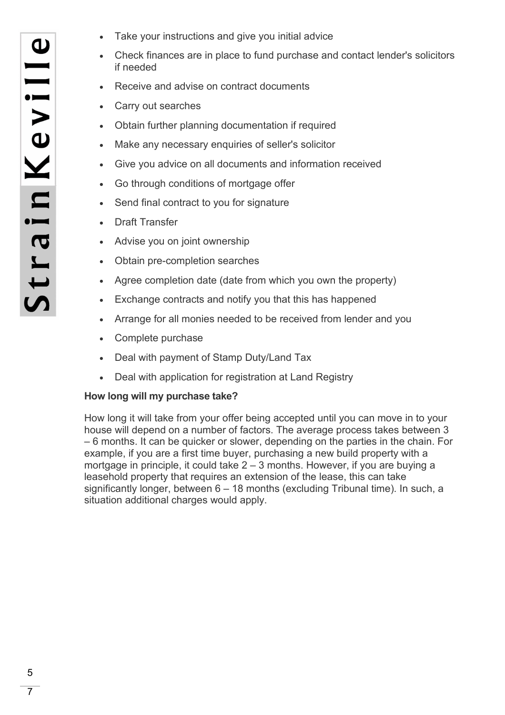- Take your instructions and give you initial advice
- Check finances are in place to fund purchase and contact lender's solicitors if needed
- Receive and advise on contract documents
- Carry out searches
- Obtain further planning documentation if required
- Make any necessary enquiries of seller's solicitor
- Give you advice on all documents and information received
- Go through conditions of mortgage offer
- Send final contract to you for signature
- Draft Transfer
- Advise you on joint ownership
- Obtain pre-completion searches
- Agree completion date (date from which you own the property)
- Exchange contracts and notify you that this has happened
- Arrange for all monies needed to be received from lender and you
- Complete purchase
- Deal with payment of Stamp Duty/Land Tax
- Deal with application for registration at Land Registry

#### **How long will my purchase take?**

How long it will take from your offer being accepted until you can move in to your house will depend on a number of factors. The average process takes between 3 – 6 months. It can be quicker or slower, depending on the parties in the chain. For example, if you are a first time buyer, purchasing a new build property with a mortgage in principle, it could take 2 – 3 months. However, if you are buying a leasehold property that requires an extension of the lease, this can take significantly longer, between 6 – 18 months (excluding Tribunal time). In such, a situation additional charges would apply.

 $\overline{7}$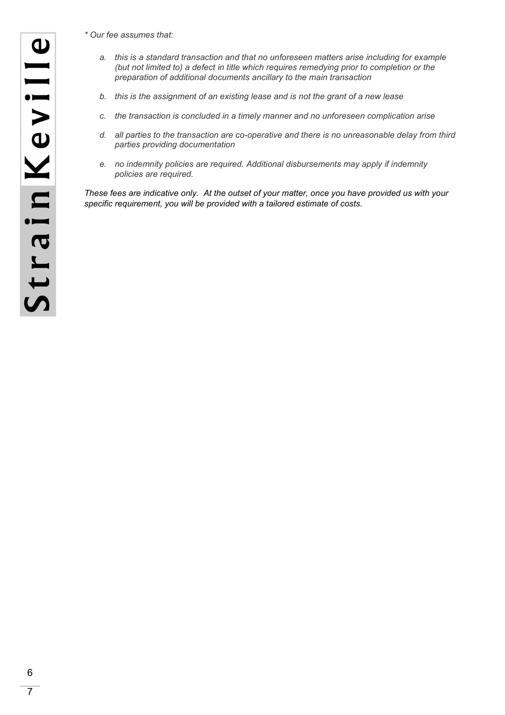*\* Our fee assumes that:*

- *a. this is a standard transaction and that no unforeseen matters arise including for example (but not limited to) a defect in title which requires remedying prior to completion or the preparation of additional documents ancillary to the main transaction*
- *b. this is the assignment of an existing lease and is not the grant of a new lease*
- *c. the transaction is concluded in a timely manner and no unforeseen complication arise*
- *d. all parties to the transaction are co-operative and there is no unreasonable delay from third parties providing documentation*
- *e. no indemnity policies are required. Additional disbursements may apply if indemnity policies are required.*

*These fees are indicative only. At the outset of your matter, once you have provided us with your specific requirement, you will be provided with a tailored estimate of costs.* 

7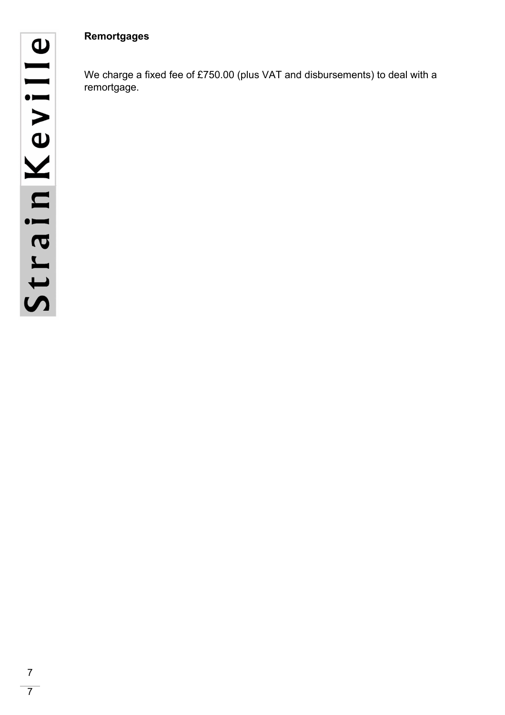#### **Remortgages**

We charge a fixed fee of £750.00 (plus VAT and disbursements) to deal with a remortgage.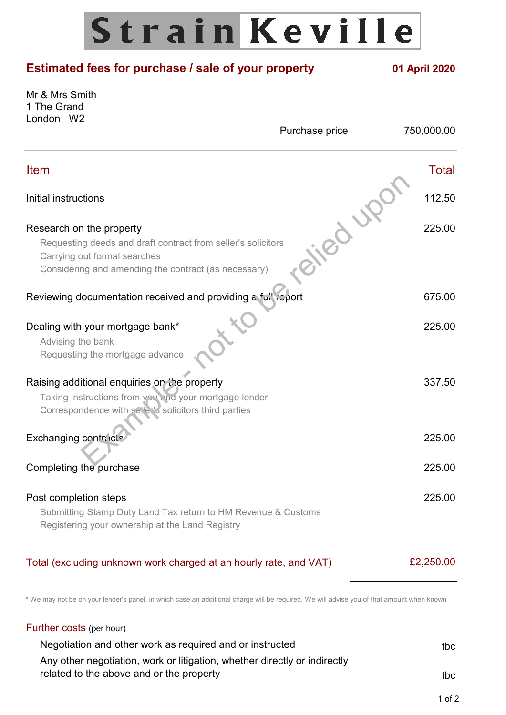# Strain Keville

# **Estimated fees for purchase / sale of your property 01 April 2020** Mr & Mrs Smith 1 The Grand London W2 Purchase price 750,000.00 Item Total Initial instructions 112.50 Research on the property **225.00** Requesting deeds and draft contract from seller's solicitors Carrying out formal searches Considering and amending the contract (as necessary) Reviewing documentation received and providing a full report 675.00 Dealing with your mortgage bank\* 225.00 Advising the bank Requesting the mortgage advance Raising additional enquiries on the property 337.50 Taking instructions from you and your mortgage lender Correspondence with seller's solicitors third parties Exchanging contracts 225.00 Completing the purchase 225.00 Post completion steps 225.00 Submitting Stamp Duty Land Tax return to HM Revenue & Customs Registering your ownership at the Land Registry Total (excluding unknown work charged at an hourly rate, and VAT) £2,250.00 Example and draft contract from seller's solicitors<br>
and draft contract from seller's solicitors<br>
and amending the contract (as necessary)<br> **locumentation received and providing a fail velocity**<br> **locumentation received an**

\* We may not be on your lender's panel, in which case an additional charge will be required. We will advise you of that amount when known

# Further costs (per hour)

| Negotiation and other work as required and or instructed                  | tbc |
|---------------------------------------------------------------------------|-----|
| Any other negotiation, work or litigation, whether directly or indirectly |     |
| related to the above and or the property                                  | tbc |
|                                                                           |     |